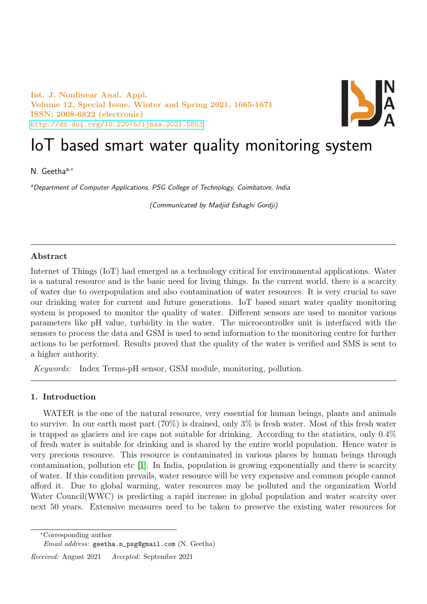Int. J. Nonlinear Anal. Appl. Volume 12, Special Issue, Winter and Spring 2021, 1665-1671 ISSN: 2008-6822 (electronic) <http://dx.doi.org/10.22075/ijnaa.2021.5853>



# IoT based smart water quality monitoring system

N. Geethaa,<sup>∗</sup>

aDepartment of Computer Applications, PSG College of Technology, Coimbatore, India

(Communicated by Madjid Eshaghi Gordji)

#### Abstract

Internet of Things (IoT) had emerged as a technology critical for environmental applications. Water is a natural resource and is the basic need for living things. In the current world, there is a scarcity of water due to overpopulation and also contamination of water resources. It is very crucial to save our drinking water for current and future generations. IoT based smart water quality monitoring system is proposed to monitor the quality of water. Different sensors are used to monitor various parameters like pH value, turbidity in the water. The microcontroller unit is interfaced with the sensors to process the data and GSM is used to send information to the monitoring centre for further actions to be performed. Results proved that the quality of the water is verified and SMS is sent to a higher authority.

Keywords: Index Terms-pH sensor, GSM module, monitoring, pollution.

#### 1. Introduction

WATER is the one of the natural resource, very essential for human beings, plants and animals to survive. In our earth most part (70%) is drained, only 3% is fresh water. Most of this fresh water is trapped as glaciers and ice caps not suitable for drinking. According to the statistics, only 0.4% of fresh water is suitable for drinking and is shared by the entire world population. Hence water is very precious resource. This resource is contaminated in various places by human beings through contamination, pollution etc [\[1\]](#page-6-0). In India, population is growing exponentially and there is scarcity of water. If this condition prevails, water resource will be very expensive and common people cannot afford it. Due to global warming, water resources may be polluted and the organization World Water Council(WWC) is predicting a rapid increase in global population and water scarcity over next 50 years. Extensive measures need to be taken to preserve the existing water resources for

<sup>∗</sup>Corresponding author

Email address: geetha.n\_psg@gmail.com (N. Geetha)

Received: August 2021 Accepted: September 2021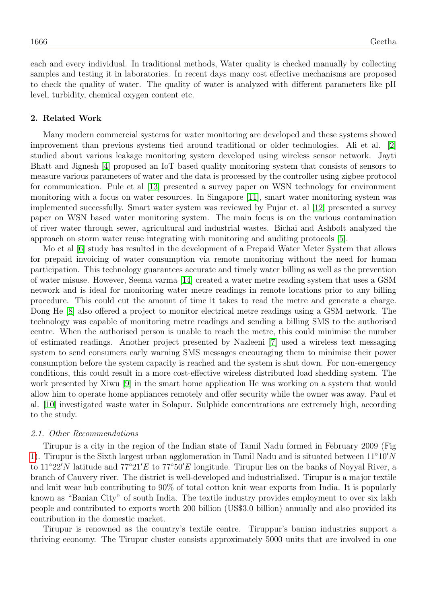each and every individual. In traditional methods, Water quality is checked manually by collecting samples and testing it in laboratories. In recent days many cost effective mechanisms are proposed to check the quality of water. The quality of water is analyzed with different parameters like pH level, turbidity, chemical oxygen content etc.

#### 2. Related Work

Many modern commercial systems for water monitoring are developed and these systems showed improvement than previous systems tied around traditional or older technologies. Ali et al. [\[2\]](#page-6-1) studied about various leakage monitoring system developed using wireless sensor network. Jayti Bhatt and Jignesh [\[4\]](#page-6-2) proposed an IoT based quality monitoring system that consists of sensors to measure various parameters of water and the data is processed by the controller using zigbee protocol for communication. Pule et al [\[13\]](#page-6-3) presented a survey paper on WSN technology for environment monitoring with a focus on water resources. In Singapore [\[11\]](#page-6-4), smart water monitoring system was implemented successfully. Smart water system was reviewed by Pujar et. al [\[12\]](#page-6-5) presented a survey paper on WSN based water monitoring system. The main focus is on the various contamination of river water through sewer, agricultural and industrial wastes. Bichai and Ashbolt analyzed the approach on storm water reuse integrating with monitoring and auditing protocols [\[5\]](#page-6-6).

Mo et al [\[6\]](#page-6-7) study has resulted in the development of a Prepaid Water Meter System that allows for prepaid invoicing of water consumption via remote monitoring without the need for human participation. This technology guarantees accurate and timely water billing as well as the prevention of water misuse. However, Seema varma [\[14\]](#page-6-8) created a water metre reading system that uses a GSM network and is ideal for monitoring water metre readings in remote locations prior to any billing procedure. This could cut the amount of time it takes to read the metre and generate a charge. Dong He [\[8\]](#page-6-9) also offered a project to monitor electrical metre readings using a GSM network. The technology was capable of monitoring metre readings and sending a billing SMS to the authorised centre. When the authorised person is unable to reach the metre, this could minimise the number of estimated readings. Another project presented by Nazleeni [\[7\]](#page-6-10) used a wireless text messaging system to send consumers early warning SMS messages encouraging them to minimise their power consumption before the system capacity is reached and the system is shut down. For non-emergency conditions, this could result in a more cost-effective wireless distributed load shedding system. The work presented by Xiwu [\[9\]](#page-6-11) in the smart home application He was working on a system that would allow him to operate home appliances remotely and offer security while the owner was away. Paul et al. [\[10\]](#page-6-12) investigated waste water in Solapur. Sulphide concentrations are extremely high, according to the study.

#### 2.1. Other Recommendations

Tirupur is a city in the region of the Indian state of Tamil Nadu formed in February 2009 (Fig [1\)](#page-2-0). Tirupur is the Sixth largest urban agglomeration in Tamil Nadu and is situated between  $11°10'N$ to 11◦22′N latitude and 77◦21′E to 77◦50′E longitude. Tirupur lies on the banks of Noyyal River, a branch of Cauvery river. The district is well-developed and industrialized. Tirupur is a major textile and knit wear hub contributing to 90% of total cotton knit wear exports from India. It is popularly known as "Banian City" of south India. The textile industry provides employment to over six lakh people and contributed to exports worth 200 billion (US\$3.0 billion) annually and also provided its contribution in the domestic market.

Tirupur is renowned as the country's textile centre. Tiruppur's banian industries support a thriving economy. The Tirupur cluster consists approximately 5000 units that are involved in one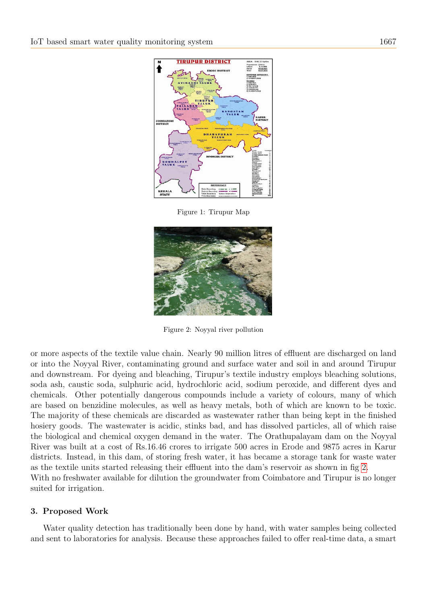

<span id="page-2-0"></span>Figure 1: Tirupur Map

<span id="page-2-1"></span>

Figure 2: Noyyal river pollution

or more aspects of the textile value chain. Nearly 90 million litres of effluent are discharged on land or into the Noyyal River, contaminating ground and surface water and soil in and around Tirupur and downstream. For dyeing and bleaching, Tirupur's textile industry employs bleaching solutions, soda ash, caustic soda, sulphuric acid, hydrochloric acid, sodium peroxide, and different dyes and chemicals. Other potentially dangerous compounds include a variety of colours, many of which are based on benzidine molecules, as well as heavy metals, both of which are known to be toxic. The majority of these chemicals are discarded as wastewater rather than being kept in the finished hosiery goods. The wastewater is acidic, stinks bad, and has dissolved particles, all of which raise the biological and chemical oxygen demand in the water. The Orathupalayam dam on the Noyyal River was built at a cost of Rs.16.46 crores to irrigate 500 acres in Erode and 9875 acres in Karur districts. Instead, in this dam, of storing fresh water, it has became a storage tank for waste water as the textile units started releasing their effluent into the dam's reservoir as shown in fig [2.](#page-2-1) With no freshwater available for dilution the groundwater from Coimbatore and Tirupur is no longer suited for irrigation.

#### 3. Proposed Work

Water quality detection has traditionally been done by hand, with water samples being collected and sent to laboratories for analysis. Because these approaches failed to offer real-time data, a smart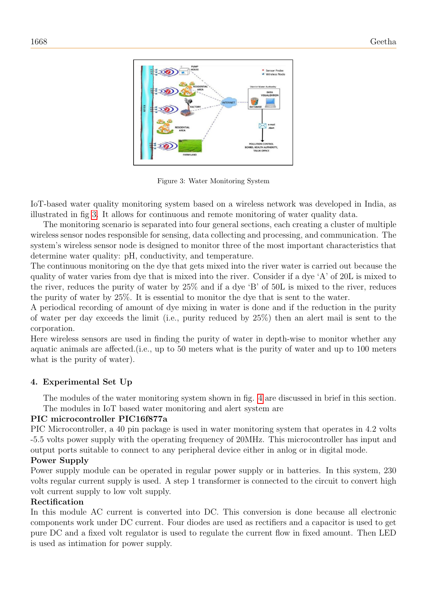

<span id="page-3-0"></span>Figure 3: Water Monitoring System

IoT-based water quality monitoring system based on a wireless network was developed in India, as illustrated in fig [3.](#page-3-0) It allows for continuous and remote monitoring of water quality data.

The monitoring scenario is separated into four general sections, each creating a cluster of multiple wireless sensor nodes responsible for sensing, data collecting and processing, and communication. The system's wireless sensor node is designed to monitor three of the most important characteristics that determine water quality: pH, conductivity, and temperature.

The continuous monitoring on the dye that gets mixed into the river water is carried out because the quality of water varies from dye that is mixed into the river. Consider if a dye 'A' of 20L is mixed to the river, reduces the purity of water by 25% and if a dye 'B' of 50L is mixed to the river, reduces the purity of water by 25%. It is essential to monitor the dye that is sent to the water.

A periodical recording of amount of dye mixing in water is done and if the reduction in the purity of water per day exceeds the limit (i.e., purity reduced by 25%) then an alert mail is sent to the corporation.

Here wireless sensors are used in finding the purity of water in depth-wise to monitor whether any aquatic animals are affected.(i.e., up to 50 meters what is the purity of water and up to 100 meters what is the purity of water).

## 4. Experimental Set Up

The modules of the water monitoring system shown in fig. [4](#page-4-0) are discussed in brief in this section. The modules in IoT based water monitoring and alert system are

## PIC microcontroller PIC16f877a

PIC Microcontroller, a 40 pin package is used in water monitoring system that operates in 4.2 volts -5.5 volts power supply with the operating frequency of 20MHz. This microcontroller has input and output ports suitable to connect to any peripheral device either in anlog or in digital mode.

#### Power Supply

Power supply module can be operated in regular power supply or in batteries. In this system, 230 volts regular current supply is used. A step 1 transformer is connected to the circuit to convert high volt current supply to low volt supply.

## Rectification

In this module AC current is converted into DC. This conversion is done because all electronic components work under DC current. Four diodes are used as rectifiers and a capacitor is used to get pure DC and a fixed volt regulator is used to regulate the current flow in fixed amount. Then LED is used as intimation for power supply.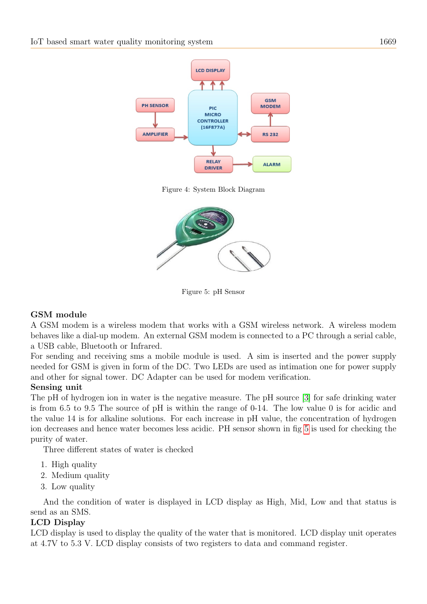

<span id="page-4-0"></span>Figure 4: System Block Diagram



<span id="page-4-1"></span>Figure 5: pH Sensor

## GSM module

A GSM modem is a wireless modem that works with a GSM wireless network. A wireless modem behaves like a dial-up modem. An external GSM modem is connected to a PC through a serial cable, a USB cable, Bluetooth or Infrared.

For sending and receiving sms a mobile module is used. A sim is inserted and the power supply needed for GSM is given in form of the DC. Two LEDs are used as intimation one for power supply and other for signal tower. DC Adapter can be used for modem verification.

#### Sensing unit

The pH of hydrogen ion in water is the negative measure. The pH source [\[3\]](#page-6-13) for safe drinking water is from 6.5 to 9.5 The source of pH is within the range of 0-14. The low value 0 is for acidic and the value 14 is for alkaline solutions. For each increase in pH value, the concentration of hydrogen ion decreases and hence water becomes less acidic. PH sensor shown in fig [5](#page-4-1) is used for checking the purity of water.

Three different states of water is checked

- 1. High quality
- 2. Medium quality
- 3. Low quality

And the condition of water is displayed in LCD display as High, Mid, Low and that status is send as an SMS.

## LCD Display

LCD display is used to display the quality of the water that is monitored. LCD display unit operates at 4.7V to 5.3 V. LCD display consists of two registers to data and command register.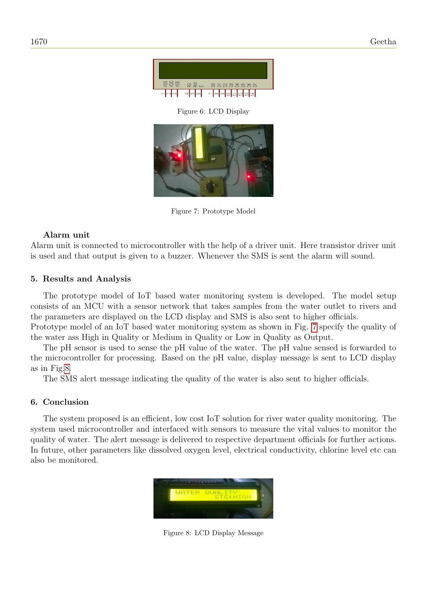

Figure 6: LCD Display

<span id="page-5-0"></span>

Figure 7: Prototype Model

## Alarm unit

Alarm unit is connected to microcontroller with the help of a driver unit. Here transistor driver unit is used and that output is given to a buzzer. Whenever the SMS is sent the alarm will sound.

# 5. Results and Analysis

The prototype model of IoT based water monitoring system is developed. The model setup consists of an MCU with a sensor network that takes samples from the water outlet to rivers and the parameters are displayed on the LCD display and SMS is also sent to higher officials.

Prototype model of an IoT based water monitoring system as shown in Fig. [7](#page-5-0) specify the quality of the water ass High in Quality or Medium in Quality or Low in Quality as Output.

The pH sensor is used to sense the pH value of the water. The pH value sensed is forwarded to the microcontroller for processing. Based on the pH value, display message is sent to LCD display as in Fig[.8.](#page-5-1)

The SMS alert message indicating the quality of the water is also sent to higher officials.

# 6. Conclusion

The system proposed is an efficient, low cost IoT solution for river water quality monitoring. The system used microcontroller and interfaced with sensors to measure the vital values to monitor the quality of water. The alert message is delivered to respective department officials for further actions. In future, other parameters like dissolved oxygen level, electrical conductivity, chlorine level etc can also be monitored.

<span id="page-5-1"></span>

Figure 8: LCD Display Message